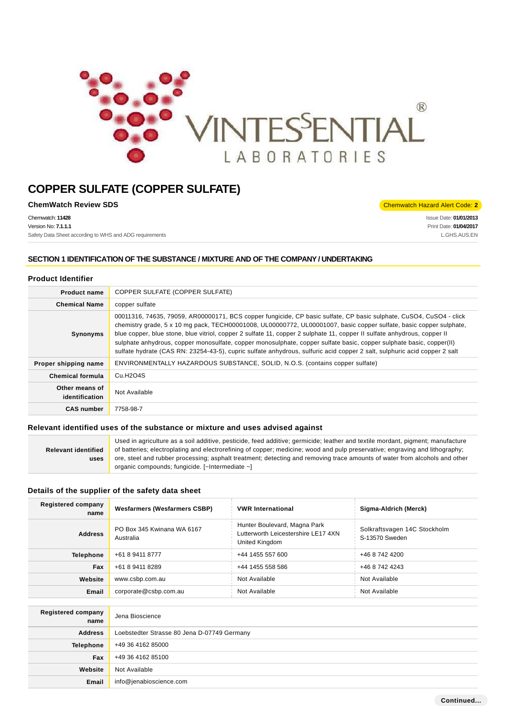

**ChemWatch Review SDS** Chemwatch Hazard Alert Code: 2

Chemwatch: **11428** Version No: **7.1.1.1** Safety Data Sheet according to WHS and ADG requirements

Issue Date: **01/01/2013** Print Date: **01/04/2017** L.GHS.AUS.EN

## **SECTION 1 IDENTIFICATION OF THE SUBSTANCE / MIXTURE AND OF THE COMPANY / UNDERTAKING**

### **Product Identifier**

| <b>Product name</b>              | COPPER SULFATE (COPPER SULFATE)                                                                                                                                                                                                                                                                                                                                                                                                                                                                                                                                                                                             |
|----------------------------------|-----------------------------------------------------------------------------------------------------------------------------------------------------------------------------------------------------------------------------------------------------------------------------------------------------------------------------------------------------------------------------------------------------------------------------------------------------------------------------------------------------------------------------------------------------------------------------------------------------------------------------|
| <b>Chemical Name</b>             | copper sulfate                                                                                                                                                                                                                                                                                                                                                                                                                                                                                                                                                                                                              |
| Synonyms                         | 00011316, 74635, 79059, AR00000171, BCS copper fungicide, CP basic sulfate, CP basic sulphate, CuSO4, CuSO4 - click<br>chemistry grade, 5 x 10 mg pack, TECH00001008, UL00000772, UL00001007, basic copper sulfate, basic copper sulphate,<br>blue copper, blue stone, blue vitriol, copper 2 sulfate 11, copper 2 sulphate 11, copper II sulfate anhydrous, copper II<br>sulphate anhydrous, copper monosulfate, copper monosulphate, copper sulfate basic, copper sulphate basic, copper(II)<br>sulfate hydrate (CAS RN: 23254-43-5), cupric sulfate anhydrous, sulfuric acid copper 2 salt, sulphuric acid copper 2 salt |
| Proper shipping name             | ENVIRONMENTALLY HAZARDOUS SUBSTANCE, SOLID, N.O.S. (contains copper sulfate)                                                                                                                                                                                                                                                                                                                                                                                                                                                                                                                                                |
| <b>Chemical formula</b>          | Cu.H2O4S                                                                                                                                                                                                                                                                                                                                                                                                                                                                                                                                                                                                                    |
| Other means of<br>identification | Not Available                                                                                                                                                                                                                                                                                                                                                                                                                                                                                                                                                                                                               |
| <b>CAS</b> number                | 7758-98-7                                                                                                                                                                                                                                                                                                                                                                                                                                                                                                                                                                                                                   |

## **Relevant identified uses of the substance or mixture and uses advised against**

|                            | Used in agriculture as a soil additive, pesticide, feed additive; germicide; leather and textile mordant, pigment; manufacture |  |
|----------------------------|--------------------------------------------------------------------------------------------------------------------------------|--|
| <b>Relevant identified</b> | of batteries; electroplating and electrorefining of copper; medicine; wood and pulp preservative; engraving and lithography;   |  |
| uses                       | ore, steel and rubber processing; asphalt treatment; detecting and removing trace amounts of water from alcohols and other     |  |
|                            | organic compounds; fungicide. $\lceil -\text{Intermediate} \rangle$                                                            |  |

## **Details of the supplier of the safety data sheet**

| <b>Registered company</b><br>name | <b>Wesfarmers (Wesfarmers CSBP)</b>         | <b>VWR International</b>                                                              | Sigma-Aldrich (Merck)                          |
|-----------------------------------|---------------------------------------------|---------------------------------------------------------------------------------------|------------------------------------------------|
| <b>Address</b>                    | PO Box 345 Kwinana WA 6167<br>Australia     | Hunter Boulevard, Magna Park<br>Lutterworth Leicestershire LE17 4XN<br>United Kingdom | Solkraftsvagen 14C Stockholm<br>S-13570 Sweden |
| <b>Telephone</b>                  | +61 8 9411 8777                             | +44 1455 557 600                                                                      | +46 8 742 4200                                 |
| Fax                               | +61 8 9411 8289                             | +44 1455 558 586                                                                      | +46 8 742 4243                                 |
| Website                           | www.csbp.com.au                             | Not Available                                                                         | Not Available                                  |
| Email                             | corporate@csbp.com.au                       | Not Available                                                                         | Not Available                                  |
|                                   |                                             |                                                                                       |                                                |
| <b>Registered company</b><br>name | Jena Bioscience                             |                                                                                       |                                                |
| <b>Address</b>                    | Loebstedter Strasse 80 Jena D-07749 Germany |                                                                                       |                                                |
| Telephone                         | +49 36 4162 85000                           |                                                                                       |                                                |
| Fax                               | +49 36 4162 85100                           |                                                                                       |                                                |
| Website                           | Not Available                               |                                                                                       |                                                |
| Email                             | info@jenabioscience.com                     |                                                                                       |                                                |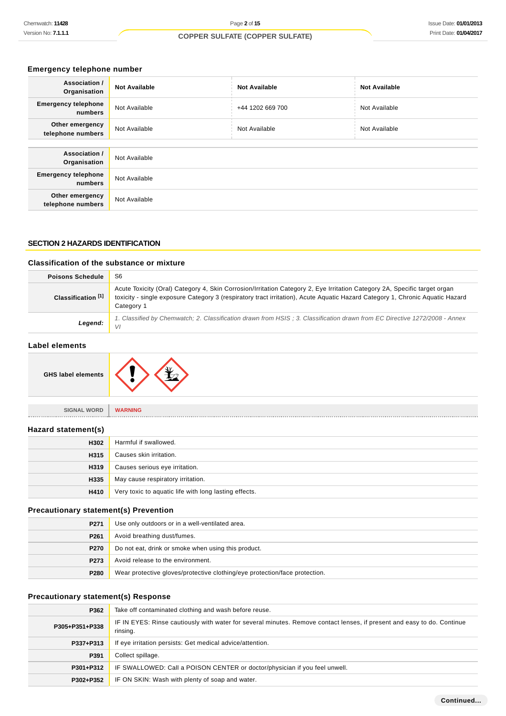# **Emergency telephone number**

| Association /<br>Organisation         | <b>Not Available</b> | <b>Not Available</b> | <b>Not Available</b> |
|---------------------------------------|----------------------|----------------------|----------------------|
| <b>Emergency telephone</b><br>numbers | Not Available        | +44 1202 669 700     | Not Available        |
| Other emergency<br>telephone numbers  | Not Available        | Not Available        | Not Available        |
|                                       |                      |                      |                      |
| Association /<br>Organisation         | Not Available        |                      |                      |
| <b>Emergency telephone</b><br>numbers | Not Available        |                      |                      |
| Other emergency<br>telephone numbers  | Not Available        |                      |                      |

## **SECTION 2 HAZARDS IDENTIFICATION**

## **Classification of the substance or mixture**

| <b>Poisons Schedule</b> | S6                                                                                                                                                                                                                                                                       |
|-------------------------|--------------------------------------------------------------------------------------------------------------------------------------------------------------------------------------------------------------------------------------------------------------------------|
| Classification [1]      | Acute Toxicity (Oral) Category 4, Skin Corrosion/Irritation Category 2, Eye Irritation Category 2A, Specific target organ<br>toxicity - single exposure Category 3 (respiratory tract irritation), Acute Aguatic Hazard Category 1, Chronic Aguatic Hazard<br>Category 1 |
| Legend:                 | 1. Classified by Chemwatch; 2. Classification drawn from HSIS; 3. Classification drawn from EC Directive 1272/2008 - Annex<br>VI                                                                                                                                         |

#### **Label elements**

| <b>GHS label elements</b> |  |
|---------------------------|--|
|---------------------------|--|

**SIGNAL WORD WARNING**

# **Hazard statement(s)**

| H302 | Harmful if swallowed.                                 |  |
|------|-------------------------------------------------------|--|
| H315 | Causes skin irritation.                               |  |
| H319 | Causes serious eye irritation.                        |  |
| H335 | May cause respiratory irritation.                     |  |
| H410 | Very toxic to aquatic life with long lasting effects. |  |

# **Precautionary statement(s) Prevention**

| P <sub>271</sub> | Use only outdoors or in a well-ventilated area.                            |
|------------------|----------------------------------------------------------------------------|
| P <sub>261</sub> | Avoid breathing dust/fumes.                                                |
| P270             | Do not eat, drink or smoke when using this product.                        |
| P273             | Avoid release to the environment.                                          |
| P280             | Wear protective gloves/protective clothing/eye protection/face protection. |

# **Precautionary statement(s) Response**

| P362           | Take off contaminated clothing and wash before reuse.                                                                               |
|----------------|-------------------------------------------------------------------------------------------------------------------------------------|
| P305+P351+P338 | IF IN EYES: Rinse cautiously with water for several minutes. Remove contact lenses, if present and easy to do. Continue<br>rinsing. |
| P337+P313      | If eye irritation persists: Get medical advice/attention.                                                                           |
| P391           | Collect spillage.                                                                                                                   |
| P301+P312      | IF SWALLOWED: Call a POISON CENTER or doctor/physician if you feel unwell.                                                          |
| P302+P352      | IF ON SKIN: Wash with plenty of soap and water.                                                                                     |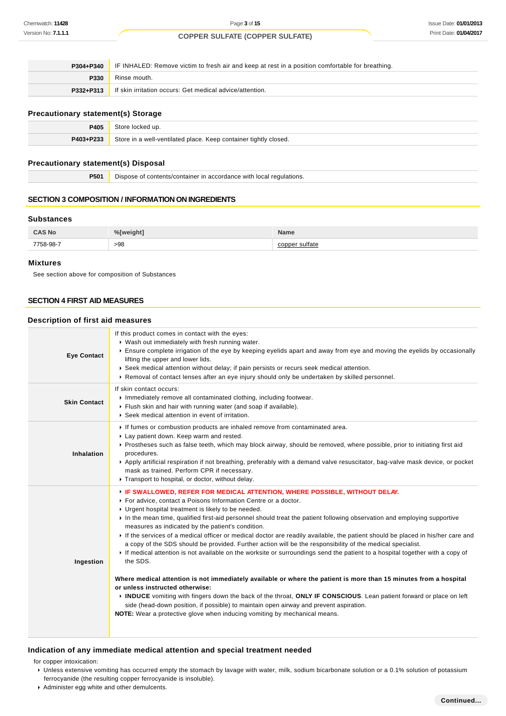| P304+P340 | IF INHALED: Remove victim to fresh air and keep at rest in a position comfortable for breathing. |  |
|-----------|--------------------------------------------------------------------------------------------------|--|
| P330      | Rinse mouth.                                                                                     |  |
| P332+P313 | If skin irritation occurs: Get medical advice/attention.                                         |  |

## **Precautionary statement(s) Storage**

| <b>P405</b> | Store locked up.                                                 |
|-------------|------------------------------------------------------------------|
| P403+P233   | Store in a well-ventilated place. Keep container tightly closed. |
|             |                                                                  |

## **Precautionary statement(s) Disposal**

**P501** Dispose of contents/container in accordance with local regulations.

#### **SECTION 3 COMPOSITION / INFORMATION ON INGREDIENTS**

## **Substances**

| <b>CAS No</b> | 'S weight | <b>Name</b> |
|---------------|-----------|-------------|
| 7758-98-7     | >98       | sulfate     |

#### **Mixtures**

See section above for composition of Substances

### **SECTION 4 FIRST AID MEASURES**

# **Description of first aid measures**

| <b>Eye Contact</b>  | If this product comes in contact with the eyes:<br>▶ Wash out immediately with fresh running water.<br>Ensure complete irrigation of the eye by keeping eyelids apart and away from eye and moving the eyelids by occasionally<br>lifting the upper and lower lids.<br>▶ Seek medical attention without delay; if pain persists or recurs seek medical attention.<br>▶ Removal of contact lenses after an eye injury should only be undertaken by skilled personnel.                                                                                                                                                                                                                                                                                                                                                                                                                                                                                                                                                                                                                                                                                                                                                                       |
|---------------------|--------------------------------------------------------------------------------------------------------------------------------------------------------------------------------------------------------------------------------------------------------------------------------------------------------------------------------------------------------------------------------------------------------------------------------------------------------------------------------------------------------------------------------------------------------------------------------------------------------------------------------------------------------------------------------------------------------------------------------------------------------------------------------------------------------------------------------------------------------------------------------------------------------------------------------------------------------------------------------------------------------------------------------------------------------------------------------------------------------------------------------------------------------------------------------------------------------------------------------------------|
| <b>Skin Contact</b> | If skin contact occurs:<br>Inmediately remove all contaminated clothing, including footwear.<br>Flush skin and hair with running water (and soap if available).<br>▶ Seek medical attention in event of irritation.                                                                                                                                                                                                                                                                                                                                                                                                                                                                                                                                                                                                                                                                                                                                                                                                                                                                                                                                                                                                                        |
| <b>Inhalation</b>   | If fumes or combustion products are inhaled remove from contaminated area.<br>Lay patient down. Keep warm and rested.<br>▶ Prostheses such as false teeth, which may block airway, should be removed, where possible, prior to initiating first aid<br>procedures.<br>▶ Apply artificial respiration if not breathing, preferably with a demand valve resuscitator, bag-valve mask device, or pocket<br>mask as trained. Perform CPR if necessary.<br>Transport to hospital, or doctor, without delay.                                                                                                                                                                                                                                                                                                                                                                                                                                                                                                                                                                                                                                                                                                                                     |
| Ingestion           | FIF SWALLOWED, REFER FOR MEDICAL ATTENTION, WHERE POSSIBLE, WITHOUT DELAY.<br>For advice, contact a Poisons Information Centre or a doctor.<br>• Urgent hospital treatment is likely to be needed.<br>In the mean time, qualified first-aid personnel should treat the patient following observation and employing supportive<br>measures as indicated by the patient's condition.<br>If the services of a medical officer or medical doctor are readily available, the patient should be placed in his/her care and<br>a copy of the SDS should be provided. Further action will be the responsibility of the medical specialist.<br>If medical attention is not available on the worksite or surroundings send the patient to a hospital together with a copy of<br>the SDS.<br>Where medical attention is not immediately available or where the patient is more than 15 minutes from a hospital<br>or unless instructed otherwise:<br>INDUCE vomiting with fingers down the back of the throat, ONLY IF CONSCIOUS. Lean patient forward or place on left<br>side (head-down position, if possible) to maintain open airway and prevent aspiration.<br><b>NOTE:</b> Wear a protective glove when inducing vomiting by mechanical means. |

# **Indication of any immediate medical attention and special treatment needed**

for copper intoxication:

Unless extensive vomiting has occurred empty the stomach by lavage with water, milk, sodium bicarbonate solution or a 0.1% solution of potassium ferrocyanide (the resulting copper ferrocyanide is insoluble).

Administer egg white and other demulcents.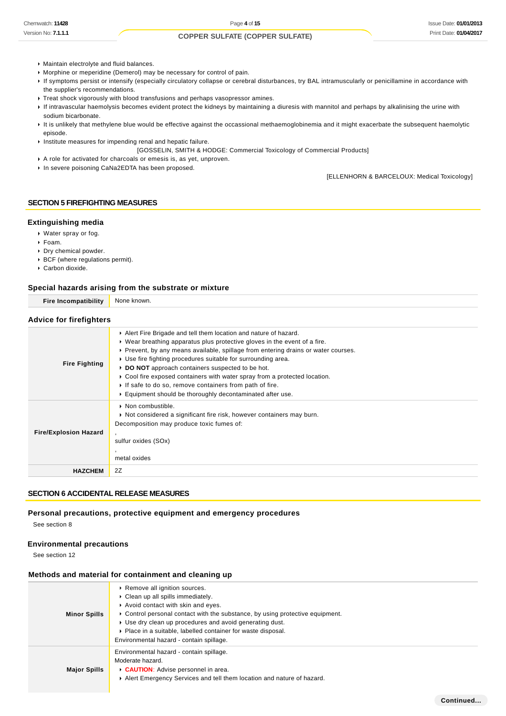- Maintain electrolyte and fluid balances.
- Morphine or meperidine (Demerol) may be necessary for control of pain.
- If symptoms persist or intensify (especially circulatory collapse or cerebral disturbances, try BAL intramuscularly or penicillamine in accordance with the supplier's recommendations.
- **Figure 1** Treat shock vigorously with blood transfusions and perhaps vasopressor amines.
- If intravascular haemolysis becomes evident protect the kidneys by maintaining a diuresis with mannitol and perhaps by alkalinising the urine with sodium bicarbonate.
- It is unlikely that methylene blue would be effective against the occassional methaemoglobinemia and it might exacerbate the subsequent haemolytic episode.
- $\blacktriangleright$  Institute measures for impending renal and hepatic failure.

[GOSSELIN, SMITH & HODGE: Commercial Toxicology of Commercial Products]

- A role for activated for charcoals or emesis is, as yet, unproven.
- In severe poisoning CaNa2EDTA has been proposed.

[ELLENHORN & BARCELOUX: Medical Toxicology]

#### **SECTION 5 FIREFIGHTING MEASURES**

#### **Extinguishing media**

- Water spray or fog.
- Foam.
- Dry chemical powder.
- BCF (where regulations permit).
- Carbon dioxide.

## **Special hazards arising from the substrate or mixture**

| Opecial Hazards arising from the substrate of imature |                                                                                                                                                                                                                                                                                                                                                                                                                                                                                                                                                                                            |  |  |
|-------------------------------------------------------|--------------------------------------------------------------------------------------------------------------------------------------------------------------------------------------------------------------------------------------------------------------------------------------------------------------------------------------------------------------------------------------------------------------------------------------------------------------------------------------------------------------------------------------------------------------------------------------------|--|--|
| <b>Fire Incompatibility</b>                           | None known.                                                                                                                                                                                                                                                                                                                                                                                                                                                                                                                                                                                |  |  |
| <b>Advice for firefighters</b>                        |                                                                                                                                                                                                                                                                                                                                                                                                                                                                                                                                                                                            |  |  |
| <b>Fire Fighting</b>                                  | Alert Fire Brigade and tell them location and nature of hazard.<br>$\triangleright$ Wear breathing apparatus plus protective gloves in the event of a fire.<br>▶ Prevent, by any means available, spillage from entering drains or water courses.<br>► Use fire fighting procedures suitable for surrounding area.<br>▶ DO NOT approach containers suspected to be hot.<br>$\triangleright$ Cool fire exposed containers with water spray from a protected location.<br>If safe to do so, remove containers from path of fire.<br>Equipment should be thoroughly decontaminated after use. |  |  |
| <b>Fire/Explosion Hazard</b>                          | $\triangleright$ Non combustible.<br>► Not considered a significant fire risk, however containers may burn.<br>Decomposition may produce toxic fumes of:<br>sulfur oxides (SOx)<br>metal oxides                                                                                                                                                                                                                                                                                                                                                                                            |  |  |
| <b>HAZCHEM</b>                                        | 2Z                                                                                                                                                                                                                                                                                                                                                                                                                                                                                                                                                                                         |  |  |

#### **SECTION 6 ACCIDENTAL RELEASE MEASURES**

#### **Personal precautions, protective equipment and emergency procedures**

See section 8

### **Environmental precautions**

See section 12

#### **Methods and material for containment and cleaning up**

| <b>Minor Spills</b> | ▶ Remove all ignition sources.<br>• Clean up all spills immediately.<br>Avoid contact with skin and eyes.<br>$\triangleright$ Control personal contact with the substance, by using protective equipment.<br>▶ Use dry clean up procedures and avoid generating dust.<br>▶ Place in a suitable, labelled container for waste disposal.<br>Environmental hazard - contain spillage. |
|---------------------|------------------------------------------------------------------------------------------------------------------------------------------------------------------------------------------------------------------------------------------------------------------------------------------------------------------------------------------------------------------------------------|
| <b>Major Spills</b> | Environmental hazard - contain spillage.<br>Moderate hazard.<br><b>CAUTION:</b> Advise personnel in area.<br>Alert Emergency Services and tell them location and nature of hazard.                                                                                                                                                                                                 |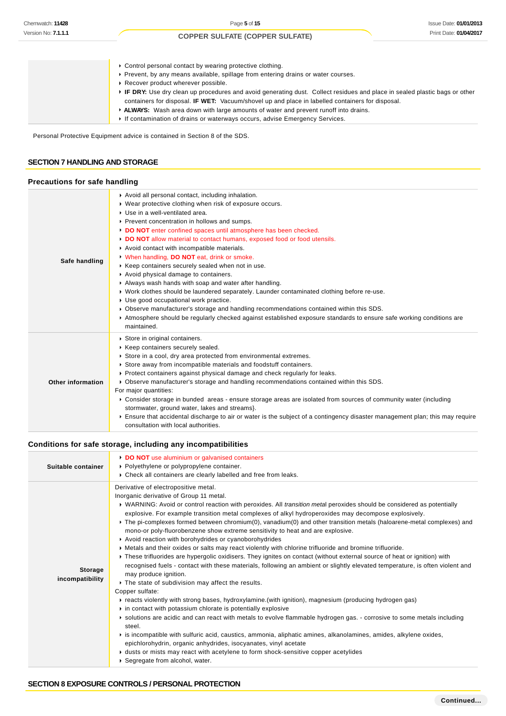- Control personal contact by wearing protective clothing.
- Prevent, by any means available, spillage from entering drains or water courses.
- ▶ Recover product wherever possible.
- **IF DRY:** Use dry clean up procedures and avoid generating dust. Collect residues and place in sealed plastic bags or other containers for disposal. **IF WET:** Vacuum/shovel up and place in labelled containers for disposal.
- **ALWAYS:** Wash area down with large amounts of water and prevent runoff into drains.
- ▶ If contamination of drains or waterways occurs, advise Emergency Services.

Personal Protective Equipment advice is contained in Section 8 of the SDS.

#### **SECTION 7 HANDLING AND STORAGE**

## **Precautions for safe handling**

|                   | Avoid all personal contact, including inhalation.                                                                           |
|-------------------|-----------------------------------------------------------------------------------------------------------------------------|
|                   | ▶ Wear protective clothing when risk of exposure occurs.                                                                    |
|                   | ▶ Use in a well-ventilated area.                                                                                            |
|                   | ▶ Prevent concentration in hollows and sumps.                                                                               |
|                   | DO NOT enter confined spaces until atmosphere has been checked.                                                             |
|                   | DO NOT allow material to contact humans, exposed food or food utensils.                                                     |
|                   | Avoid contact with incompatible materials.                                                                                  |
| Safe handling     | When handling, DO NOT eat, drink or smoke.                                                                                  |
|                   | ▶ Keep containers securely sealed when not in use.                                                                          |
|                   | Avoid physical damage to containers.                                                                                        |
|                   | Always wash hands with soap and water after handling.                                                                       |
|                   | ► Work clothes should be laundered separately. Launder contaminated clothing before re-use.                                 |
|                   | ▶ Use good occupational work practice.                                                                                      |
|                   | ► Observe manufacturer's storage and handling recommendations contained within this SDS.                                    |
|                   | Atmosphere should be regularly checked against established exposure standards to ensure safe working conditions are         |
|                   | maintained.                                                                                                                 |
|                   | Store in original containers.                                                                                               |
|                   | ▶ Keep containers securely sealed.                                                                                          |
|                   | Store in a cool, dry area protected from environmental extremes.                                                            |
|                   | Store away from incompatible materials and foodstuff containers.                                                            |
|                   | ► Protect containers against physical damage and check regularly for leaks.                                                 |
| Other information | ► Observe manufacturer's storage and handling recommendations contained within this SDS.                                    |
|                   | For major quantities:                                                                                                       |
|                   | ► Consider storage in bunded areas - ensure storage areas are isolated from sources of community water (including           |
|                   | stormwater, ground water, lakes and streams}.                                                                               |
|                   | Ensure that accidental discharge to air or water is the subject of a contingency disaster management plan; this may require |
|                   | consultation with local authorities.                                                                                        |

## **Conditions for safe storage, including any incompatibilities**

| Suitable container                | DO NOT use aluminium or galvanised containers<br>• Polyethylene or polypropylene container.<br>▶ Check all containers are clearly labelled and free from leaks.                                                                                                                                                                                                                                                                                                                                                                                                                                                                                                                                                                                                                                                                                                                                                                                                                                                                                                                                                                                                                                                                                                                                                                                                                                                                                                                                                                                                                                                                                                                                      |
|-----------------------------------|------------------------------------------------------------------------------------------------------------------------------------------------------------------------------------------------------------------------------------------------------------------------------------------------------------------------------------------------------------------------------------------------------------------------------------------------------------------------------------------------------------------------------------------------------------------------------------------------------------------------------------------------------------------------------------------------------------------------------------------------------------------------------------------------------------------------------------------------------------------------------------------------------------------------------------------------------------------------------------------------------------------------------------------------------------------------------------------------------------------------------------------------------------------------------------------------------------------------------------------------------------------------------------------------------------------------------------------------------------------------------------------------------------------------------------------------------------------------------------------------------------------------------------------------------------------------------------------------------------------------------------------------------------------------------------------------------|
| <b>Storage</b><br>incompatibility | Derivative of electropositive metal.<br>Inorganic derivative of Group 11 metal.<br>▶ WARNING: Avoid or control reaction with peroxides. All transition metal peroxides should be considered as potentially<br>explosive. For example transition metal complexes of alkyl hydroperoxides may decompose explosively.<br>Figure The pi-complexes formed between chromium(0), vanadium(0) and other transition metals (haloarene-metal complexes) and<br>mono-or poly-fluorobenzene show extreme sensitivity to heat and are explosive.<br>Avoid reaction with borohydrides or cyanoborohydrides<br>▶ Metals and their oxides or salts may react violently with chlorine trifluoride and bromine trifluoride.<br>▶ These trifluorides are hypergolic oxidisers. They ignites on contact (without external source of heat or ignition) with<br>recognised fuels - contact with these materials, following an ambient or slightly elevated temperature, is often violent and<br>may produce ignition.<br>The state of subdivision may affect the results.<br>Copper sulfate:<br>reacts violently with strong bases, hydroxylamine. (with ignition), magnesium (producing hydrogen gas)<br>in contact with potassium chlorate is potentially explosive<br>► solutions are acidic and can react with metals to evolve flammable hydrogen gas. - corrosive to some metals including<br>steel.<br>is incompatible with sulfuric acid, caustics, ammonia, aliphatic amines, alkanolamines, amides, alkylene oxides,<br>epichlorohydrin, organic anhydrides, isocyanates, vinyl acetate<br>► dusts or mists may react with acetylene to form shock-sensitive copper acetylides<br>Segregate from alcohol, water. |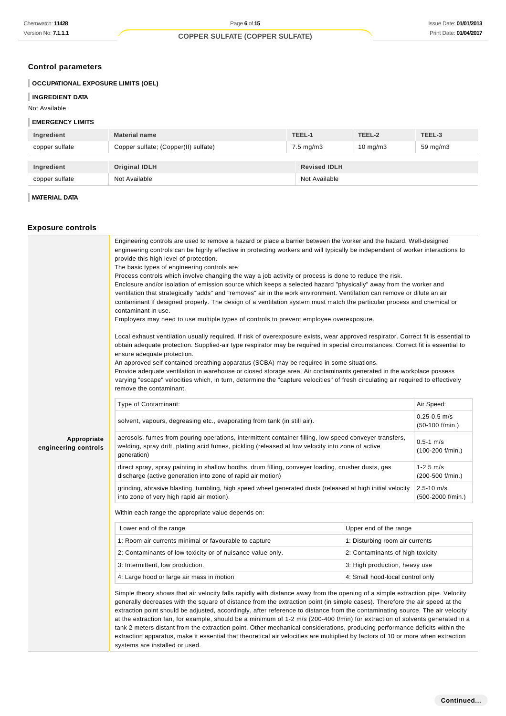# **Control parameters**

# **OCCUPATIONAL EXPOSURE LIMITS (OEL)**

# **INGREDIENT DATA**

Not Available

#### **EMERGENCY LIMITS**

| Ingredient     | <b>Material name</b>                 | TEEL-1               | TEEL-2            | TEEL-3   |
|----------------|--------------------------------------|----------------------|-------------------|----------|
| copper sulfate | Copper sulfate; (Copper(II) sulfate) | $7.5 \text{ mg/m}$ 3 | $10 \text{ mg/m}$ | 59 mg/m3 |
|                |                                      |                      |                   |          |
| Ingredient     | <b>Original IDLH</b>                 | <b>Revised IDLH</b>  |                   |          |
| copper sulfate | Not Available                        | Not Available        |                   |          |

# **MATERIAL DATA**

# **Exposure controls**

|                                     | Engineering controls are used to remove a hazard or place a barrier between the worker and the hazard. Well-designed<br>engineering controls can be highly effective in protecting workers and will typically be independent of worker interactions to<br>provide this high level of protection.<br>The basic types of engineering controls are:<br>Process controls which involve changing the way a job activity or process is done to reduce the risk.<br>Enclosure and/or isolation of emission source which keeps a selected hazard "physically" away from the worker and<br>ventilation that strategically "adds" and "removes" air in the work environment. Ventilation can remove or dilute an air<br>contaminant if designed properly. The design of a ventilation system must match the particular process and chemical or<br>contaminant in use.<br>Employers may need to use multiple types of controls to prevent employee overexposure.<br>Local exhaust ventilation usually required. If risk of overexposure exists, wear approved respirator. Correct fit is essential to<br>obtain adequate protection. Supplied-air type respirator may be required in special circumstances. Correct fit is essential to |                                  |                                        |  |
|-------------------------------------|------------------------------------------------------------------------------------------------------------------------------------------------------------------------------------------------------------------------------------------------------------------------------------------------------------------------------------------------------------------------------------------------------------------------------------------------------------------------------------------------------------------------------------------------------------------------------------------------------------------------------------------------------------------------------------------------------------------------------------------------------------------------------------------------------------------------------------------------------------------------------------------------------------------------------------------------------------------------------------------------------------------------------------------------------------------------------------------------------------------------------------------------------------------------------------------------------------------------------|----------------------------------|----------------------------------------|--|
|                                     | ensure adequate protection.<br>An approved self contained breathing apparatus (SCBA) may be required in some situations.                                                                                                                                                                                                                                                                                                                                                                                                                                                                                                                                                                                                                                                                                                                                                                                                                                                                                                                                                                                                                                                                                                     |                                  |                                        |  |
|                                     | Provide adequate ventilation in warehouse or closed storage area. Air contaminants generated in the workplace possess                                                                                                                                                                                                                                                                                                                                                                                                                                                                                                                                                                                                                                                                                                                                                                                                                                                                                                                                                                                                                                                                                                        |                                  |                                        |  |
|                                     | varying "escape" velocities which, in turn, determine the "capture velocities" of fresh circulating air required to effectively<br>remove the contaminant.                                                                                                                                                                                                                                                                                                                                                                                                                                                                                                                                                                                                                                                                                                                                                                                                                                                                                                                                                                                                                                                                   |                                  |                                        |  |
|                                     | Type of Contaminant:                                                                                                                                                                                                                                                                                                                                                                                                                                                                                                                                                                                                                                                                                                                                                                                                                                                                                                                                                                                                                                                                                                                                                                                                         |                                  | Air Speed:                             |  |
|                                     | solvent, vapours, degreasing etc., evaporating from tank (in still air).                                                                                                                                                                                                                                                                                                                                                                                                                                                                                                                                                                                                                                                                                                                                                                                                                                                                                                                                                                                                                                                                                                                                                     |                                  | $0.25 - 0.5$ m/s<br>$(50-100)$ f/min.) |  |
| Appropriate<br>engineering controls | aerosols, fumes from pouring operations, intermittent container filling, low speed conveyer transfers,<br>welding, spray drift, plating acid fumes, pickling (released at low velocity into zone of active<br>generation)                                                                                                                                                                                                                                                                                                                                                                                                                                                                                                                                                                                                                                                                                                                                                                                                                                                                                                                                                                                                    |                                  | $0.5 - 1$ m/s<br>(100-200 f/min.)      |  |
|                                     | direct spray, spray painting in shallow booths, drum filling, conveyer loading, crusher dusts, gas<br>discharge (active generation into zone of rapid air motion)                                                                                                                                                                                                                                                                                                                                                                                                                                                                                                                                                                                                                                                                                                                                                                                                                                                                                                                                                                                                                                                            |                                  | $1-2.5$ m/s<br>(200-500 f/min.)        |  |
|                                     | grinding, abrasive blasting, tumbling, high speed wheel generated dusts (released at high initial velocity<br>into zone of very high rapid air motion).                                                                                                                                                                                                                                                                                                                                                                                                                                                                                                                                                                                                                                                                                                                                                                                                                                                                                                                                                                                                                                                                      |                                  | $2.5 - 10$ m/s<br>(500-2000 f/min.)    |  |
|                                     | Within each range the appropriate value depends on:                                                                                                                                                                                                                                                                                                                                                                                                                                                                                                                                                                                                                                                                                                                                                                                                                                                                                                                                                                                                                                                                                                                                                                          |                                  |                                        |  |
|                                     | Lower end of the range                                                                                                                                                                                                                                                                                                                                                                                                                                                                                                                                                                                                                                                                                                                                                                                                                                                                                                                                                                                                                                                                                                                                                                                                       | Upper end of the range           |                                        |  |
|                                     | 1: Room air currents minimal or favourable to capture                                                                                                                                                                                                                                                                                                                                                                                                                                                                                                                                                                                                                                                                                                                                                                                                                                                                                                                                                                                                                                                                                                                                                                        | 1: Disturbing room air currents  |                                        |  |
|                                     | 2: Contaminants of low toxicity or of nuisance value only.                                                                                                                                                                                                                                                                                                                                                                                                                                                                                                                                                                                                                                                                                                                                                                                                                                                                                                                                                                                                                                                                                                                                                                   | 2: Contaminants of high toxicity |                                        |  |
|                                     | 3: Intermittent, low production.                                                                                                                                                                                                                                                                                                                                                                                                                                                                                                                                                                                                                                                                                                                                                                                                                                                                                                                                                                                                                                                                                                                                                                                             | 3: High production, heavy use    |                                        |  |
|                                     | 4: Large hood or large air mass in motion                                                                                                                                                                                                                                                                                                                                                                                                                                                                                                                                                                                                                                                                                                                                                                                                                                                                                                                                                                                                                                                                                                                                                                                    | 4: Small hood-local control only |                                        |  |
|                                     | Simple theory shows that air velocity falls rapidly with distance away from the opening of a simple extraction pipe. Velocity<br>generally decreases with the square of distance from the extraction point (in simple cases). Therefore the air speed at the<br>extraction point should be adjusted, accordingly, after reference to distance from the contaminating source. The air velocity<br>at the extraction fan, for example, should be a minimum of 1-2 m/s (200-400 f/min) for extraction of solvents generated in a<br>tank 2 meters distant from the extraction point. Other mechanical considerations, producing performance deficits within the<br>extraction apparatus, make it essential that theoretical air velocities are multiplied by factors of 10 or more when extraction<br>systems are installed or used.                                                                                                                                                                                                                                                                                                                                                                                            |                                  |                                        |  |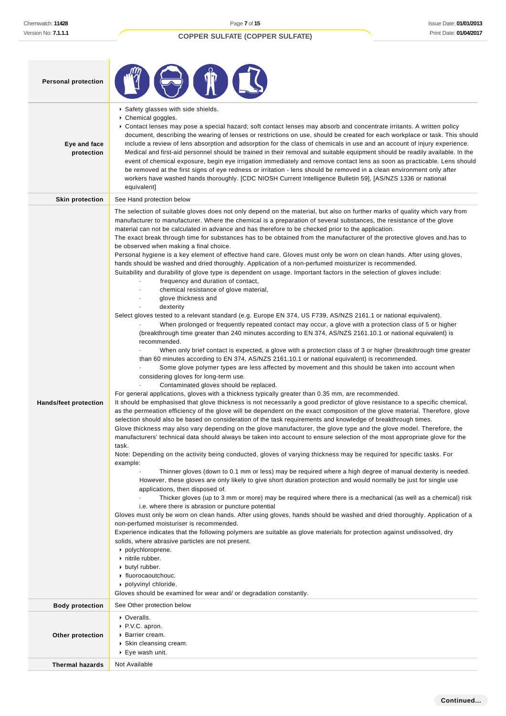| <b>Personal protection</b>                             |                                                                                                                                                                                                                                                                                                                                                                                                                                                                                                                                                                                                                                                                                                                                                                                                                                                                                                                                                                                                                                                                                                                                                                                                                                                                                                                                                                                                                                                                                                                                                                                                                                                                                                                                                                                                                                                                                                                                                                                                                                                                                                                                                                                                                                                                                                                                                                                                                                                                                                                                                                                                                                                                                                                                                                                                                                                                                                                                                                                                                                                                                                                                                                                                                                                                                                                                                                                                                                                                                                                                                                                                                                                                                                            |  |  |
|--------------------------------------------------------|------------------------------------------------------------------------------------------------------------------------------------------------------------------------------------------------------------------------------------------------------------------------------------------------------------------------------------------------------------------------------------------------------------------------------------------------------------------------------------------------------------------------------------------------------------------------------------------------------------------------------------------------------------------------------------------------------------------------------------------------------------------------------------------------------------------------------------------------------------------------------------------------------------------------------------------------------------------------------------------------------------------------------------------------------------------------------------------------------------------------------------------------------------------------------------------------------------------------------------------------------------------------------------------------------------------------------------------------------------------------------------------------------------------------------------------------------------------------------------------------------------------------------------------------------------------------------------------------------------------------------------------------------------------------------------------------------------------------------------------------------------------------------------------------------------------------------------------------------------------------------------------------------------------------------------------------------------------------------------------------------------------------------------------------------------------------------------------------------------------------------------------------------------------------------------------------------------------------------------------------------------------------------------------------------------------------------------------------------------------------------------------------------------------------------------------------------------------------------------------------------------------------------------------------------------------------------------------------------------------------------------------------------------------------------------------------------------------------------------------------------------------------------------------------------------------------------------------------------------------------------------------------------------------------------------------------------------------------------------------------------------------------------------------------------------------------------------------------------------------------------------------------------------------------------------------------------------------------------------------------------------------------------------------------------------------------------------------------------------------------------------------------------------------------------------------------------------------------------------------------------------------------------------------------------------------------------------------------------------------------------------------------------------------------------------------------------------|--|--|
| Eye and face<br>protection                             | Safety glasses with side shields.<br>▶ Chemical goggles.<br>► Contact lenses may pose a special hazard; soft contact lenses may absorb and concentrate irritants. A written policy<br>document, describing the wearing of lenses or restrictions on use, should be created for each workplace or task. This should<br>include a review of lens absorption and adsorption for the class of chemicals in use and an account of injury experience.<br>Medical and first-aid personnel should be trained in their removal and suitable equipment should be readily available. In the<br>event of chemical exposure, begin eye irrigation immediately and remove contact lens as soon as practicable. Lens should<br>be removed at the first signs of eye redness or irritation - lens should be removed in a clean environment only after<br>workers have washed hands thoroughly. [CDC NIOSH Current Intelligence Bulletin 59], [AS/NZS 1336 or national<br>equivalent]                                                                                                                                                                                                                                                                                                                                                                                                                                                                                                                                                                                                                                                                                                                                                                                                                                                                                                                                                                                                                                                                                                                                                                                                                                                                                                                                                                                                                                                                                                                                                                                                                                                                                                                                                                                                                                                                                                                                                                                                                                                                                                                                                                                                                                                                                                                                                                                                                                                                                                                                                                                                                                                                                                                                       |  |  |
| <b>Skin protection</b>                                 | See Hand protection below                                                                                                                                                                                                                                                                                                                                                                                                                                                                                                                                                                                                                                                                                                                                                                                                                                                                                                                                                                                                                                                                                                                                                                                                                                                                                                                                                                                                                                                                                                                                                                                                                                                                                                                                                                                                                                                                                                                                                                                                                                                                                                                                                                                                                                                                                                                                                                                                                                                                                                                                                                                                                                                                                                                                                                                                                                                                                                                                                                                                                                                                                                                                                                                                                                                                                                                                                                                                                                                                                                                                                                                                                                                                                  |  |  |
| <b>Hands/feet protection</b><br><b>Body protection</b> | The selection of suitable gloves does not only depend on the material, but also on further marks of quality which vary from<br>manufacturer to manufacturer. Where the chemical is a preparation of several substances, the resistance of the glove<br>material can not be calculated in advance and has therefore to be checked prior to the application.<br>The exact break through time for substances has to be obtained from the manufacturer of the protective gloves and has to<br>be observed when making a final choice.<br>Personal hygiene is a key element of effective hand care. Gloves must only be worn on clean hands. After using gloves,<br>hands should be washed and dried thoroughly. Application of a non-perfumed moisturizer is recommended.<br>Suitability and durability of glove type is dependent on usage. Important factors in the selection of gloves include:<br>frequency and duration of contact,<br>chemical resistance of glove material,<br>glove thickness and<br>dexterity<br>Select gloves tested to a relevant standard (e.g. Europe EN 374, US F739, AS/NZS 2161.1 or national equivalent).<br>When prolonged or frequently repeated contact may occur, a glove with a protection class of 5 or higher<br>(breakthrough time greater than 240 minutes according to EN 374, AS/NZS 2161.10.1 or national equivalent) is<br>recommended.<br>When only brief contact is expected, a glove with a protection class of 3 or higher (breakthrough time greater<br>than 60 minutes according to EN 374, AS/NZS 2161.10.1 or national equivalent) is recommended.<br>Some glove polymer types are less affected by movement and this should be taken into account when<br>considering gloves for long-term use.<br>Contaminated gloves should be replaced.<br>For general applications, gloves with a thickness typically greater than 0.35 mm, are recommended.<br>It should be emphasised that glove thickness is not necessarily a good predictor of glove resistance to a specific chemical,<br>as the permeation efficiency of the glove will be dependent on the exact composition of the glove material. Therefore, glove<br>selection should also be based on consideration of the task requirements and knowledge of breakthrough times.<br>Glove thickness may also vary depending on the glove manufacturer, the glove type and the glove model. Therefore, the<br>manufacturers' technical data should always be taken into account to ensure selection of the most appropriate glove for the<br>task.<br>Note: Depending on the activity being conducted, gloves of varying thickness may be required for specific tasks. For<br>example:<br>Thinner gloves (down to 0.1 mm or less) may be required where a high degree of manual dexterity is needed.<br>However, these gloves are only likely to give short duration protection and would normally be just for single use<br>applications, then disposed of.<br>Thicker gloves (up to 3 mm or more) may be required where there is a mechanical (as well as a chemical) risk<br>i.e. where there is abrasion or puncture potential<br>Gloves must only be worn on clean hands. After using gloves, hands should be washed and dried thoroughly. Application of a<br>non-perfumed moisturiser is recommended.<br>Experience indicates that the following polymers are suitable as glove materials for protection against undissolved, dry<br>solids, where abrasive particles are not present.<br>polychloroprene.<br>nitrile rubber.<br>butyl rubber.<br>• fluorocaoutchouc.<br>polyvinyl chloride.<br>Gloves should be examined for wear and/ or degradation constantly.<br>See Other protection below |  |  |
|                                                        |                                                                                                                                                                                                                                                                                                                                                                                                                                                                                                                                                                                                                                                                                                                                                                                                                                                                                                                                                                                                                                                                                                                                                                                                                                                                                                                                                                                                                                                                                                                                                                                                                                                                                                                                                                                                                                                                                                                                                                                                                                                                                                                                                                                                                                                                                                                                                                                                                                                                                                                                                                                                                                                                                                                                                                                                                                                                                                                                                                                                                                                                                                                                                                                                                                                                                                                                                                                                                                                                                                                                                                                                                                                                                                            |  |  |
| Other protection                                       | • Overalls.<br>▶ P.V.C. apron.<br>▶ Barrier cream.<br>▶ Skin cleansing cream.<br>▶ Eye wash unit.                                                                                                                                                                                                                                                                                                                                                                                                                                                                                                                                                                                                                                                                                                                                                                                                                                                                                                                                                                                                                                                                                                                                                                                                                                                                                                                                                                                                                                                                                                                                                                                                                                                                                                                                                                                                                                                                                                                                                                                                                                                                                                                                                                                                                                                                                                                                                                                                                                                                                                                                                                                                                                                                                                                                                                                                                                                                                                                                                                                                                                                                                                                                                                                                                                                                                                                                                                                                                                                                                                                                                                                                          |  |  |
| <b>Thermal hazards</b>                                 | Not Available                                                                                                                                                                                                                                                                                                                                                                                                                                                                                                                                                                                                                                                                                                                                                                                                                                                                                                                                                                                                                                                                                                                                                                                                                                                                                                                                                                                                                                                                                                                                                                                                                                                                                                                                                                                                                                                                                                                                                                                                                                                                                                                                                                                                                                                                                                                                                                                                                                                                                                                                                                                                                                                                                                                                                                                                                                                                                                                                                                                                                                                                                                                                                                                                                                                                                                                                                                                                                                                                                                                                                                                                                                                                                              |  |  |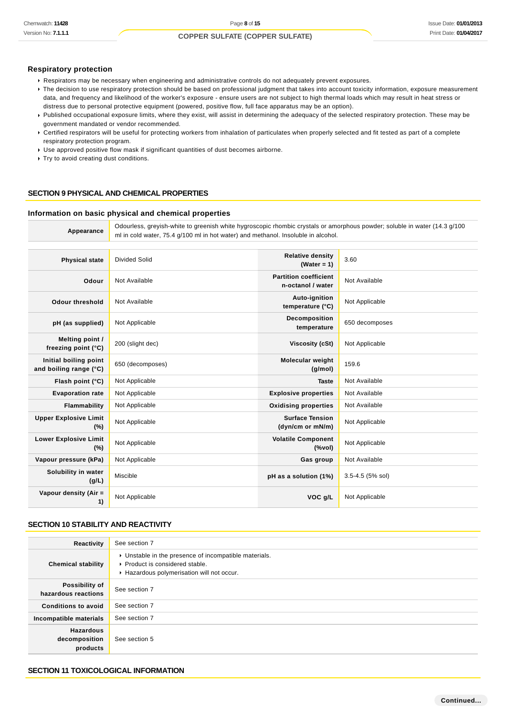## **Respiratory protection**

- Respirators may be necessary when engineering and administrative controls do not adequately prevent exposures.
- ▶ The decision to use respiratory protection should be based on professional judgment that takes into account toxicity information, exposure measurement data, and frequency and likelihood of the worker's exposure - ensure users are not subject to high thermal loads which may result in heat stress or distress due to personal protective equipment (powered, positive flow, full face apparatus may be an option).
- Published occupational exposure limits, where they exist, will assist in determining the adequacy of the selected respiratory protection. These may be government mandated or vendor recommended.
- Certified respirators will be useful for protecting workers from inhalation of particulates when properly selected and fit tested as part of a complete respiratory protection program.
- Use approved positive flow mask if significant quantities of dust becomes airborne.

Try to avoid creating dust conditions.

### **SECTION 9 PHYSICAL AND CHEMICAL PROPERTIES**

### **Information on basic physical and chemical properties**

**Appearance** Odourless, greyish-white to greenish white hygroscopic rhombic crystals or amorphous powder; soluble in water (14.3 g/100 ml in cold water, 75.4 g/100 ml in hot water) and methanol. Insoluble in alcohol.

| <b>Physical state</b>                           | <b>Divided Solid</b> | <b>Relative density</b><br>(Water = $1$ )         | 3.60             |
|-------------------------------------------------|----------------------|---------------------------------------------------|------------------|
| Odour                                           | Not Available        | <b>Partition coefficient</b><br>n-octanol / water | Not Available    |
| <b>Odour threshold</b>                          | Not Available        | Auto-ignition<br>temperature (°C)                 | Not Applicable   |
| pH (as supplied)                                | Not Applicable       | Decomposition<br>temperature                      | 650 decomposes   |
| Melting point /<br>freezing point (°C)          | 200 (slight dec)     | <b>Viscosity (cSt)</b>                            | Not Applicable   |
| Initial boiling point<br>and boiling range (°C) | 650 (decomposes)     | Molecular weight<br>(g/mol)                       | 159.6            |
| Flash point (°C)                                | Not Applicable       | <b>Taste</b>                                      | Not Available    |
| <b>Evaporation rate</b>                         | Not Applicable       | <b>Explosive properties</b>                       | Not Available    |
| Flammability                                    | Not Applicable       | <b>Oxidising properties</b>                       | Not Available    |
| <b>Upper Explosive Limit</b><br>(%)             | Not Applicable       | <b>Surface Tension</b><br>(dyn/cm or mN/m)        | Not Applicable   |
| <b>Lower Explosive Limit</b><br>$(\%)$          | Not Applicable       | <b>Volatile Component</b><br>(%                   | Not Applicable   |
| Vapour pressure (kPa)                           | Not Applicable       | Gas group                                         | Not Available    |
| Solubility in water<br>(g/L)                    | Miscible             | pH as a solution (1%)                             | 3.5-4.5 (5% sol) |
| Vapour density (Air =<br>1)                     | Not Applicable       | VOC q/L                                           | Not Applicable   |

## **SECTION 10 STABILITY AND REACTIVITY**

| Reactivity                                    | See section 7                                                                                                                        |
|-----------------------------------------------|--------------------------------------------------------------------------------------------------------------------------------------|
| <b>Chemical stability</b>                     | • Unstable in the presence of incompatible materials.<br>▶ Product is considered stable.<br>Hazardous polymerisation will not occur. |
| Possibility of<br>hazardous reactions         | See section 7                                                                                                                        |
| <b>Conditions to avoid</b>                    | See section 7                                                                                                                        |
| Incompatible materials                        | See section 7                                                                                                                        |
| <b>Hazardous</b><br>decomposition<br>products | See section 5                                                                                                                        |

#### **SECTION 11 TOXICOLOGICAL INFORMATION**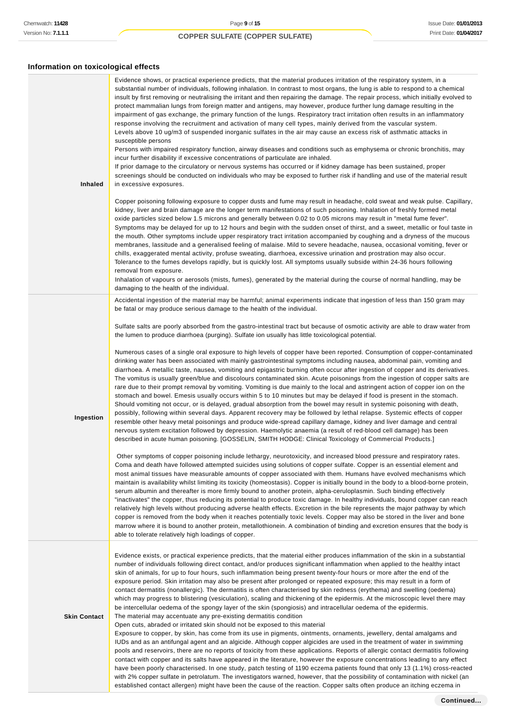# **Information on toxicological effects**

| Inhaled             | Evidence shows, or practical experience predicts, that the material produces irritation of the respiratory system, in a<br>substantial number of individuals, following inhalation. In contrast to most organs, the lung is able to respond to a chemical<br>insult by first removing or neutralising the irritant and then repairing the damage. The repair process, which initially evolved to<br>protect mammalian lungs from foreign matter and antigens, may however, produce further lung damage resulting in the<br>impairment of gas exchange, the primary function of the lungs. Respiratory tract irritation often results in an inflammatory<br>response involving the recruitment and activation of many cell types, mainly derived from the vascular system.<br>Levels above 10 ug/m3 of suspended inorganic sulfates in the air may cause an excess risk of asthmatic attacks in<br>susceptible persons<br>Persons with impaired respiratory function, airway diseases and conditions such as emphysema or chronic bronchitis, may<br>incur further disability if excessive concentrations of particulate are inhaled.<br>If prior damage to the circulatory or nervous systems has occurred or if kidney damage has been sustained, proper<br>screenings should be conducted on individuals who may be exposed to further risk if handling and use of the material result<br>in excessive exposures.<br>Copper poisoning following exposure to copper dusts and fume may result in headache, cold sweat and weak pulse. Capillary,<br>kidney, liver and brain damage are the longer term manifestations of such poisoning. Inhalation of freshly formed metal<br>oxide particles sized below 1.5 microns and generally between 0.02 to 0.05 microns may result in "metal fume fever".<br>Symptoms may be delayed for up to 12 hours and begin with the sudden onset of thirst, and a sweet, metallic or foul taste in<br>the mouth. Other symptoms include upper respiratory tract irritation accompanied by coughing and a dryness of the mucous<br>membranes, lassitude and a generalised feeling of malaise. Mild to severe headache, nausea, occasional vomiting, fever or<br>chills, exaggerated mental activity, profuse sweating, diarrhoea, excessive urination and prostration may also occur.<br>Tolerance to the fumes develops rapidly, but is quickly lost. All symptoms usually subside within 24-36 hours following<br>removal from exposure.                                                                                                                                                                                                                                                                                                                                                                                                                                                                                                                                                                                                 |
|---------------------|-----------------------------------------------------------------------------------------------------------------------------------------------------------------------------------------------------------------------------------------------------------------------------------------------------------------------------------------------------------------------------------------------------------------------------------------------------------------------------------------------------------------------------------------------------------------------------------------------------------------------------------------------------------------------------------------------------------------------------------------------------------------------------------------------------------------------------------------------------------------------------------------------------------------------------------------------------------------------------------------------------------------------------------------------------------------------------------------------------------------------------------------------------------------------------------------------------------------------------------------------------------------------------------------------------------------------------------------------------------------------------------------------------------------------------------------------------------------------------------------------------------------------------------------------------------------------------------------------------------------------------------------------------------------------------------------------------------------------------------------------------------------------------------------------------------------------------------------------------------------------------------------------------------------------------------------------------------------------------------------------------------------------------------------------------------------------------------------------------------------------------------------------------------------------------------------------------------------------------------------------------------------------------------------------------------------------------------------------------------------------------------------------------------------------------------------------------------------------------------------------------------------------------------------------------------------------------------------------------------------------------------------------------------------------------------------------------------------------------------------------------------------------------------------------------------------------------------------------------------------------------------------------------------------------------------------------------------------------------------------------------------------------------------------------------------------------------|
|                     | Inhalation of vapours or aerosols (mists, fumes), generated by the material during the course of normal handling, may be<br>damaging to the health of the individual.                                                                                                                                                                                                                                                                                                                                                                                                                                                                                                                                                                                                                                                                                                                                                                                                                                                                                                                                                                                                                                                                                                                                                                                                                                                                                                                                                                                                                                                                                                                                                                                                                                                                                                                                                                                                                                                                                                                                                                                                                                                                                                                                                                                                                                                                                                                                                                                                                                                                                                                                                                                                                                                                                                                                                                                                                                                                                                       |
| Ingestion           | Accidental ingestion of the material may be harmful; animal experiments indicate that ingestion of less than 150 gram may<br>be fatal or may produce serious damage to the health of the individual.<br>Sulfate salts are poorly absorbed from the gastro-intestinal tract but because of osmotic activity are able to draw water from<br>the lumen to produce diarrhoea (purging). Sulfate ion usually has little toxicological potential.<br>Numerous cases of a single oral exposure to high levels of copper have been reported. Consumption of copper-contaminated<br>drinking water has been associated with mainly gastrointestinal symptoms including nausea, abdominal pain, vomiting and<br>diarrhoea. A metallic taste, nausea, vomiting and epigastric burning often occur after ingestion of copper and its derivatives.<br>The vomitus is usually green/blue and discolours contaminated skin. Acute poisonings from the ingestion of copper salts are<br>rare due to their prompt removal by vomiting. Vomiting is due mainly to the local and astringent action of copper ion on the<br>stomach and bowel. Emesis usually occurs within 5 to 10 minutes but may be delayed if food is present in the stomach.<br>Should vomiting not occur, or is delayed, gradual absorption from the bowel may result in systemic poisoning with death,<br>possibly, following within several days. Apparent recovery may be followed by lethal relapse. Systemic effects of copper<br>resemble other heavy metal poisonings and produce wide-spread capillary damage, kidney and liver damage and central<br>nervous system excitation followed by depression. Haemolytic anaemia (a result of red-blood cell damage) has been<br>described in acute human poisoning. [GOSSELIN, SMITH HODGE: Clinical Toxicology of Commercial Products.]<br>Other symptoms of copper poisoning include lethargy, neurotoxicity, and increased blood pressure and respiratory rates.<br>Coma and death have followed attempted suicides using solutions of copper sulfate. Copper is an essential element and<br>most animal tissues have measurable amounts of copper associated with them. Humans have evolved mechanisms which<br>maintain is availability whilst limiting its toxicity (homeostasis). Copper is initially bound in the body to a blood-borne protein,<br>serum albumin and thereafter is more firmly bound to another protein, alpha-ceruloplasmin. Such binding effectively<br>"inactivates" the copper, thus reducing its potential to produce toxic damage. In healthy individuals, bound copper can reach<br>relatively high levels without producing adverse health effects. Excretion in the bile represents the major pathway by which<br>copper is removed from the body when it reaches potentially toxic levels. Copper may also be stored in the liver and bone<br>marrow where it is bound to another protein, metallothionein. A combination of binding and excretion ensures that the body is<br>able to tolerate relatively high loadings of copper. |
| <b>Skin Contact</b> | Evidence exists, or practical experience predicts, that the material either produces inflammation of the skin in a substantial<br>number of individuals following direct contact, and/or produces significant inflammation when applied to the healthy intact<br>skin of animals, for up to four hours, such inflammation being present twenty-four hours or more after the end of the<br>exposure period. Skin irritation may also be present after prolonged or repeated exposure; this may result in a form of<br>contact dermatitis (nonallergic). The dermatitis is often characterised by skin redness (erythema) and swelling (oedema)<br>which may progress to blistering (vesiculation), scaling and thickening of the epidermis. At the microscopic level there may<br>be intercellular oedema of the spongy layer of the skin (spongiosis) and intracellular oedema of the epidermis.<br>The material may accentuate any pre-existing dermatitis condition<br>Open cuts, abraded or irritated skin should not be exposed to this material<br>Exposure to copper, by skin, has come from its use in pigments, ointments, ornaments, jewellery, dental amalgams and<br>IUDs and as an antifungal agent and an algicide. Although copper algicides are used in the treatment of water in swimming<br>pools and reservoirs, there are no reports of toxicity from these applications. Reports of allergic contact dermatitis following<br>contact with copper and its salts have appeared in the literature, however the exposure concentrations leading to any effect<br>have been poorly characterised. In one study, patch testing of 1190 eczema patients found that only 13 (1.1%) cross-reacted<br>with 2% copper sulfate in petrolatum. The investigators warned, however, that the possibility of contamination with nickel (an<br>established contact allergen) might have been the cause of the reaction. Copper salts often produce an itching eczema in                                                                                                                                                                                                                                                                                                                                                                                                                                                                                                                                                                                                                                                                                                                                                                                                                                                                                                                                                                                                                                                                                                  |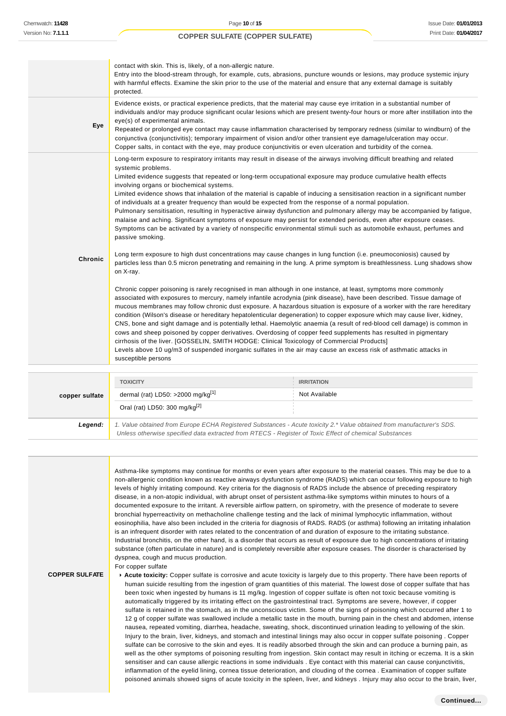|         | contact with skin. This is, likely, of a non-allergic nature.<br>Entry into the blood-stream through, for example, cuts, abrasions, puncture wounds or lesions, may produce systemic injury<br>with harmful effects. Examine the skin prior to the use of the material and ensure that any external damage is suitably<br>protected.                                                                                                                                                                                                                                                                                                                                                                                                                                                                                                                                                                                                                                                                                                                                                                                                                                                                                                                            |
|---------|-----------------------------------------------------------------------------------------------------------------------------------------------------------------------------------------------------------------------------------------------------------------------------------------------------------------------------------------------------------------------------------------------------------------------------------------------------------------------------------------------------------------------------------------------------------------------------------------------------------------------------------------------------------------------------------------------------------------------------------------------------------------------------------------------------------------------------------------------------------------------------------------------------------------------------------------------------------------------------------------------------------------------------------------------------------------------------------------------------------------------------------------------------------------------------------------------------------------------------------------------------------------|
| Eye     | Evidence exists, or practical experience predicts, that the material may cause eye irritation in a substantial number of<br>individuals and/or may produce significant ocular lesions which are present twenty-four hours or more after instillation into the<br>eye(s) of experimental animals.<br>Repeated or prolonged eye contact may cause inflammation characterised by temporary redness (similar to windburn) of the<br>conjunctiva (conjunctivitis); temporary impairment of vision and/or other transient eye damage/ulceration may occur.<br>Copper salts, in contact with the eye, may produce conjunctivitis or even ulceration and turbidity of the cornea.                                                                                                                                                                                                                                                                                                                                                                                                                                                                                                                                                                                       |
|         | Long-term exposure to respiratory irritants may result in disease of the airways involving difficult breathing and related<br>systemic problems.<br>Limited evidence suggests that repeated or long-term occupational exposure may produce cumulative health effects<br>involving organs or biochemical systems.<br>Limited evidence shows that inhalation of the material is capable of inducing a sensitisation reaction in a significant number<br>of individuals at a greater frequency than would be expected from the response of a normal population.<br>Pulmonary sensitisation, resulting in hyperactive airway dysfunction and pulmonary allergy may be accompanied by fatigue,<br>malaise and aching. Significant symptoms of exposure may persist for extended periods, even after exposure ceases.<br>Symptoms can be activated by a variety of nonspecific environmental stimuli such as automobile exhaust, perfumes and<br>passive smoking.                                                                                                                                                                                                                                                                                                     |
| Chronic | Long term exposure to high dust concentrations may cause changes in lung function (i.e. pneumoconiosis) caused by<br>particles less than 0.5 micron penetrating and remaining in the lung. A prime symptom is breathlessness. Lung shadows show<br>on X-ray.<br>Chronic copper poisoning is rarely recognised in man although in one instance, at least, symptoms more commonly<br>associated with exposures to mercury, namely infantile acrodynia (pink disease), have been described. Tissue damage of<br>mucous membranes may follow chronic dust exposure. A hazardous situation is exposure of a worker with the rare hereditary<br>condition (Wilson's disease or hereditary hepatolenticular degeneration) to copper exposure which may cause liver, kidney,<br>CNS, bone and sight damage and is potentially lethal. Haemolytic anaemia (a result of red-blood cell damage) is common in<br>cows and sheep poisoned by copper derivatives. Overdosing of copper feed supplements has resulted in pigmentary<br>cirrhosis of the liver. [GOSSELIN, SMITH HODGE: Clinical Toxicology of Commercial Products]<br>Levels above 10 ug/m3 of suspended inorganic sulfates in the air may cause an excess risk of asthmatic attacks in<br>susceptible persons |
|         | <b>TOVICITY</b><br><b>IDDITATION</b>                                                                                                                                                                                                                                                                                                                                                                                                                                                                                                                                                                                                                                                                                                                                                                                                                                                                                                                                                                                                                                                                                                                                                                                                                            |

|                | <b>TOXICITY</b>                                                                                                                                                                                                                 | <b>IRRITATION</b> |
|----------------|---------------------------------------------------------------------------------------------------------------------------------------------------------------------------------------------------------------------------------|-------------------|
| copper sulfate | dermal (rat) LD50: >2000 mg/kg <sup>[1]</sup>                                                                                                                                                                                   | Not Available     |
|                | Oral (rat) LD50: 300 mg/kg $^{[2]}$                                                                                                                                                                                             |                   |
| Legend:        | 1. Value obtained from Europe ECHA Registered Substances - Acute toxicity 2.* Value obtained from manufacturer's SDS.<br>Unless otherwise specified data extracted from RTECS - Register of Toxic Effect of chemical Substances |                   |

Asthma-like symptoms may continue for months or even years after exposure to the material ceases. This may be due to a non-allergenic condition known as reactive airways dysfunction syndrome (RADS) which can occur following exposure to high levels of highly irritating compound. Key criteria for the diagnosis of RADS include the absence of preceding respiratory disease, in a non-atopic individual, with abrupt onset of persistent asthma-like symptoms within minutes to hours of a documented exposure to the irritant. A reversible airflow pattern, on spirometry, with the presence of moderate to severe bronchial hyperreactivity on methacholine challenge testing and the lack of minimal lymphocytic inflammation, without eosinophilia, have also been included in the criteria for diagnosis of RADS. RADS (or asthma) following an irritating inhalation is an infrequent disorder with rates related to the concentration of and duration of exposure to the irritating substance. Industrial bronchitis, on the other hand, is a disorder that occurs as result of exposure due to high concentrations of irritating substance (often particulate in nature) and is completely reversible after exposure ceases. The disorder is characterised by dyspnea, cough and mucus production. For copper sulfate

**COPPER SULFATE**

**Acute toxicity:** Copper sulfate is corrosive and acute toxicity is largely due to this property. There have been reports of human suicide resulting from the ingestion of gram quantities of this material. The lowest dose of copper sulfate that has been toxic when ingested by humans is 11 mg/kg. Ingestion of copper sulfate is often not toxic because vomiting is automatically triggered by its irritating effect on the gastrointestinal tract. Symptoms are severe, however, if copper sulfate is retained in the stomach, as in the unconscious victim. Some of the signs of poisoning which occurred after 1 to 12 g of copper sulfate was swallowed include a metallic taste in the mouth, burning pain in the chest and abdomen, intense nausea, repeated vomiting, diarrhea, headache, sweating, shock, discontinued urination leading to yellowing of the skin. Injury to the brain, liver, kidneys, and stomach and intestinal linings may also occur in copper sulfate poisoning . Copper sulfate can be corrosive to the skin and eyes. It is readily absorbed through the skin and can produce a burning pain, as well as the other symptoms of poisoning resulting from ingestion. Skin contact may result in itching or eczema. It is a skin sensitiser and can cause allergic reactions in some individuals . Eye contact with this material can cause conjunctivitis, inflammation of the eyelid lining, cornea tissue deterioration, and clouding of the cornea . Examination of copper sulfate poisoned animals showed signs of acute toxicity in the spleen, liver, and kidneys . Injury may also occur to the brain, liver,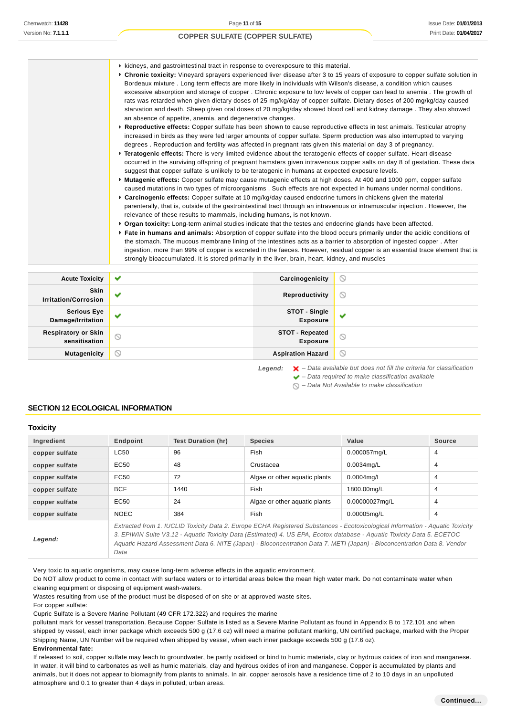**Kidneys, and gastrointestinal tract in response to overexposure to this material. Chronic toxicity:** Vineyard sprayers experienced liver disease after 3 to 15 years of exposure to copper sulfate solution in Bordeaux mixture . Long term effects are more likely in individuals with Wilson's disease, a condition which causes excessive absorption and storage of copper . Chronic exposure to low levels of copper can lead to anemia . The growth of rats was retarded when given dietary doses of 25 mg/kg/day of copper sulfate. Dietary doses of 200 mg/kg/day caused starvation and death. Sheep given oral doses of 20 mg/kg/day showed blood cell and kidney damage . They also showed an absence of appetite, anemia, and degenerative changes. **Reproductive effects:** Copper sulfate has been shown to cause reproductive effects in test animals. Testicular atrophy increased in birds as they were fed larger amounts of copper sulfate. Sperm production was also interrupted to varying degrees . Reproduction and fertility was affected in pregnant rats given this material on day 3 of pregnancy. **Teratogenic effects:** There is very limited evidence about the teratogenic effects of copper sulfate. Heart disease occurred in the surviving offspring of pregnant hamsters given intravenous copper salts on day 8 of gestation. These data suggest that copper sulfate is unlikely to be teratogenic in humans at expected exposure levels. **Mutagenic effects:** Copper sulfate may cause mutagenic effects at high doses. At 400 and 1000 ppm, copper sulfate caused mutations in two types of microorganisms . Such effects are not expected in humans under normal conditions. **Carcinogenic effects:** Copper sulfate at 10 mg/kg/day caused endocrine tumors in chickens given the material parenterally, that is, outside of the gastrointestinal tract through an intravenous or intramuscular injection . However, the relevance of these results to mammals, including humans, is not known. **Organ toxicity:** Long-term animal studies indicate that the testes and endocrine glands have been affected. **Fate in humans and animals:** Absorption of copper sulfate into the blood occurs primarily under the acidic conditions of the stomach. The mucous membrane lining of the intestines acts as a barrier to absorption of ingested copper . After ingestion, more than 99% of copper is excreted in the faeces. However, residual copper is an essential trace element that is strongly bioaccumulated. It is stored primarily in the liver, brain, heart, kidney, and muscles **Acute Toxicity Carcinogenicity**

| THOMAS TOWARD                               |                          | <u>www.annadomony</u>             | $\sim$         |
|---------------------------------------------|--------------------------|-----------------------------------|----------------|
| Skin<br><b>Irritation/Corrosion</b>         | $\overline{\phantom{a}}$ | Reproductivity                    | $\circledcirc$ |
| Serious Eye<br>Damage/Irritation            | ◡                        | <b>STOT - Single<br/>Exposure</b> | $\checkmark$   |
| <b>Respiratory or Skin</b><br>sensitisation | $\circ$                  | STOT - Repeated<br>Exposure       | Ø              |
| Mutagenicity                                | $\circ$                  | <b>Aspiration Hazard</b>          | $\circ$        |

Legend:  $\mathsf{X}$  - Data available but does not fill the criteria for classification

 $\blacktriangleright$  – Data required to make classification available

 $\bigcirc$  – Data Not Available to make classification

#### **SECTION 12 ECOLOGICAL INFORMATION**

#### **Toxicity**

| Ingredient     | Endpoint                                                                                                                                                                                                                                                                                                                                                                            | Test Duration (hr) | <b>Species</b>                | Value          | Source |
|----------------|-------------------------------------------------------------------------------------------------------------------------------------------------------------------------------------------------------------------------------------------------------------------------------------------------------------------------------------------------------------------------------------|--------------------|-------------------------------|----------------|--------|
| copper sulfate | LC50                                                                                                                                                                                                                                                                                                                                                                                | 96                 | Fish                          | 0.000057mg/L   | 4      |
| copper sulfate | EC50                                                                                                                                                                                                                                                                                                                                                                                | 48                 | Crustacea                     | $0.0034$ ma/L  | 4      |
| copper sulfate | EC50                                                                                                                                                                                                                                                                                                                                                                                | 72                 | Algae or other aguatic plants | $0.0004$ ma/L  | 4      |
| copper sulfate | <b>BCF</b>                                                                                                                                                                                                                                                                                                                                                                          | 1440               | Fish                          | 1800.00mg/L    | 4      |
| copper sulfate | EC50                                                                                                                                                                                                                                                                                                                                                                                | 24                 | Algae or other aguatic plants | 0.00000027mg/L | 4      |
| copper sulfate | <b>NOEC</b>                                                                                                                                                                                                                                                                                                                                                                         | 384                | Fish                          | $0.00005$ mg/L | 4      |
| Legend:        | Extracted from 1. IUCLID Toxicity Data 2. Europe ECHA Registered Substances - Ecotoxicological Information - Aquatic Toxicity<br>3. EPIWIN Suite V3.12 - Aquatic Toxicity Data (Estimated) 4. US EPA, Ecotox database - Aquatic Toxicity Data 5. ECETOC<br>Aquatic Hazard Assessment Data 6. NITE (Japan) - Bioconcentration Data 7. METI (Japan) - Bioconcentration Data 8. Vendor |                    |                               |                |        |

Very toxic to aquatic organisms, may cause long-term adverse effects in the aquatic environment.

Do NOT allow product to come in contact with surface waters or to intertidal areas below the mean high water mark. Do not contaminate water when cleaning equipment or disposing of equipment wash-waters.

Wastes resulting from use of the product must be disposed of on site or at approved waste sites.

For copper sulfate:

Cupric Sulfate is a Severe Marine Pollutant (49 CFR 172.322) and requires the marine

Data

pollutant mark for vessel transportation. Because Copper Sulfate is listed as a Severe Marine Pollutant as found in Appendix B to 172.101 and when shipped by vessel, each inner package which exceeds 500 g (17.6 oz) will need a marine pollutant marking, UN certified package, marked with the Proper Shipping Name, UN Number will be required when shipped by vessel, when each inner package exceeds 500 g (17.6 oz). **Environmental fate:**

If released to soil, copper sulfate may leach to groundwater, be partly oxidised or bind to humic materials, clay or hydrous oxides of iron and manganese. In water, it will bind to carbonates as well as humic materials, clay and hydrous oxides of iron and manganese. Copper is accumulated by plants and animals, but it does not appear to biomagnify from plants to animals. In air, copper aerosols have a residence time of 2 to 10 days in an unpolluted atmosphere and 0.1 to greater than 4 days in polluted, urban areas.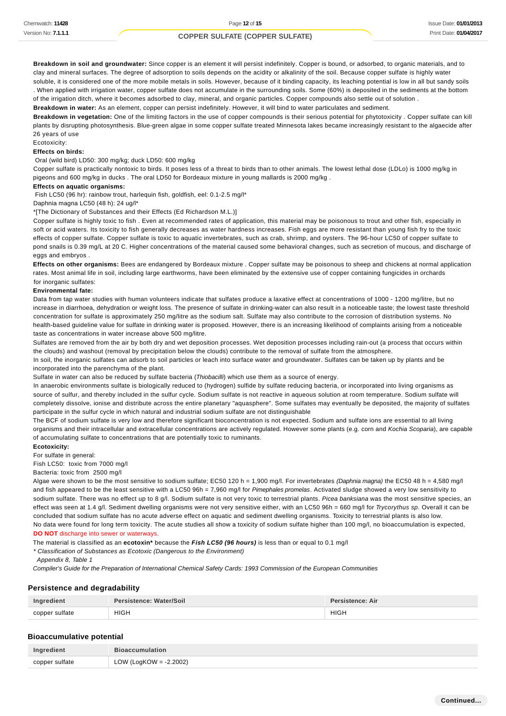**Breakdown in soil and groundwater:** Since copper is an element it will persist indefinitely. Copper is bound, or adsorbed, to organic materials, and to clay and mineral surfaces. The degree of adsorption to soils depends on the acidity or alkalinity of the soil. Because copper sulfate is highly water soluble, it is considered one of the more mobile metals in soils. However, because of it binding capacity, its leaching potential is low in all but sandy soils . When applied with irrigation water, copper sulfate does not accumulate in the surrounding soils. Some (60%) is deposited in the sediments at the bottom of the irrigation ditch, where it becomes adsorbed to clay, mineral, and organic particles. Copper compounds also settle out of solution .

**Breakdown in water:** As an element, copper can persist indefinitely. However, it will bind to water particulates and sediment.

**Breakdown in vegetation:** One of the limiting factors in the use of copper compounds is their serious potential for phytotoxicity . Copper sulfate can kill plants by disrupting photosynthesis. Blue-green algae in some copper sulfate treated Minnesota lakes became increasingly resistant to the algaecide after 26 years of use

Ecotoxicity:

#### **Effects on birds:**

Oral (wild bird) LD50: 300 mg/kg; duck LD50: 600 mg/kg

Copper sulfate is practically nontoxic to birds. It poses less of a threat to birds than to other animals. The lowest lethal dose (LDLo) is 1000 mg/kg in pigeons and 600 mg/kg in ducks . The oral LD50 for Bordeaux mixture in young mallards is 2000 mg/kg .

#### **Effects on aquatic organisms:**

Fish LC50 (96 hr): rainbow trout, harlequin fish, goldfish, eel: 0.1-2.5 mg/l\*

Daphnia magna LC50 (48 h): 24 ug/l\*

\*[The Dictionary of Substances and their Effects (Ed Richardson M.L.)]

Copper sulfate is highly toxic to fish . Even at recommended rates of application, this material may be poisonous to trout and other fish, especially in soft or acid waters. Its toxicity to fish generally decreases as water hardness increases. Fish eggs are more resistant than young fish fry to the toxic effects of copper sulfate. Copper sulfate is toxic to aquatic invertebrates, such as crab, shrimp, and oysters. The 96-hour LC50 of copper sulfate to pond snails is 0.39 mg/L at 20 C. Higher concentrations of the material caused some behavioral changes, such as secretion of mucous, and discharge of eggs and embryos .

**Effects on other organisms:** Bees are endangered by Bordeaux mixture . Copper sulfate may be poisonous to sheep and chickens at normal application rates. Most animal life in soil, including large earthworms, have been eliminated by the extensive use of copper containing fungicides in orchards for inorganic sulfates:

#### **Environmental fate:**

Data from tap water studies with human volunteers indicate that sulfates produce a laxative effect at concentrations of 1000 - 1200 mg/litre, but no increase in diarrhoea, dehydration or weight loss. The presence of sulfate in drinking-water can also result in a noticeable taste; the lowest taste threshold concentration for sulfate is approximately 250 mg/litre as the sodium salt. Sulfate may also contribute to the corrosion of distribution systems. No health-based guideline value for sulfate in drinking water is proposed. However, there is an increasing likelihood of complaints arising from a noticeable taste as concentrations in water increase above 500 mg/litre.

Sulfates are removed from the air by both dry and wet deposition processes. Wet deposition processes including rain-out (a process that occurs within the clouds) and washout (removal by precipitation below the clouds) contribute to the removal of sulfate from the atmosphere.

In soil, the inorganic sulfates can adsorb to soil particles or leach into surface water and groundwater. Sulfates can be taken up by plants and be incorporated into the parenchyma of the plant.

Sulfate in water can also be reduced by sulfate bacteria (Thiobacilli) which use them as a source of energy.

In anaerobic environments sulfate is biologically reduced to (hydrogen) sulfide by sulfate reducing bacteria, or incorporated into living organisms as source of sulfur, and thereby included in the sulfur cycle. Sodium sulfate is not reactive in aqueous solution at room temperature. Sodium sulfate will completely dissolve, ionise and distribute across the entire planetary "aquasphere". Some sulfates may eventually be deposited, the majority of sulfates participate in the sulfur cycle in which natural and industrial sodium sulfate are not distinguishable

The BCF of sodium sulfate is very low and therefore significant bioconcentration is not expected. Sodium and sulfate ions are essential to all living organisms and their intracellular and extracellular concentrations are actively regulated. However some plants (e.g. corn and Kochia Scoparia), are capable of accumulating sulfate to concentrations that are potentially toxic to ruminants.

## **Ecotoxicity:**

For sulfate in general:

Fish LC50: toxic from 7000 mg/l

#### Bacteria: toxic from 2500 mg/l

Algae were shown to be the most sensitive to sodium sulfate; EC50 120 h = 1,900 mg/l. For invertebrates (Daphnia magna) the EC50 48 h = 4,580 mg/l and fish appeared to be the least sensitive with a LC50 96h = 7.960 mg/l for Pimephales promelas. Activated sludge showed a very low sensitivity to sodium sulfate. There was no effect up to 8 g/l. Sodium sulfate is not very toxic to terrestrial plants. Picea banksiana was the most sensitive species, an effect was seen at 1.4 g/l. Sediment dwelling organisms were not very sensitive either, with an LC50 96h = 660 mg/l for Trycorythus sp. Overall it can be concluded that sodium sulfate has no acute adverse effect on aquatic and sediment dwelling organisms. Toxicity to terrestrial plants is also low. No data were found for long term toxicity. The acute studies all show a toxicity of sodium sulfate higher than 100 mg/l, no bioaccumulation is expected, **DO NOT** discharge into sewer or waterways.

The material is classified as an **ecotoxin\*** because the **Fish LC50 (96 hours)** is less than or equal to 0.1 mg/l

\* Classification of Substances as Ecotoxic (Dangerous to the Environment)

Appendix 8, Table 1

Compiler's Guide for the Preparation of International Chemical Safety Cards: 1993 Commission of the European Communities

#### **Persistence and degradability**

| Ingredient     | Persistence: Water/Soil | Persistence: Air |
|----------------|-------------------------|------------------|
| copper sulfate | <b>HIGH</b>             | <b>HIGH</b>      |

#### **Bioaccumulative potential**

| Ingredien      |                           |
|----------------|---------------------------|
| copper sultate | LOW (LogKOW = $-2.2002$ ) |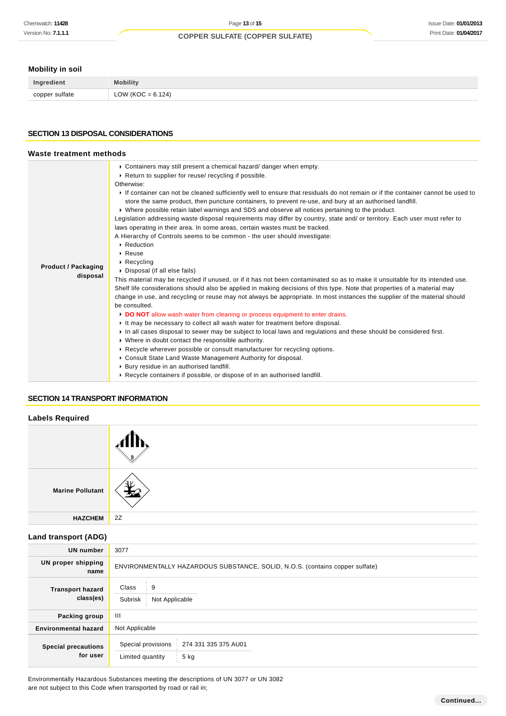# **Mobility in soil**

| Ingredient     | <b>Mobility</b>       |
|----------------|-----------------------|
| copper sulfate | LOW ( $KOC = 6.124$ ) |

## **SECTION 13 DISPOSAL CONSIDERATIONS**

## **Waste treatment methods**

| <b>Product / Packaging</b><br>disposal | $\triangleright$ Containers may still present a chemical hazard/ danger when empty.<br>▶ Return to supplier for reuse/ recycling if possible.<br>Otherwise:<br>If container can not be cleaned sufficiently well to ensure that residuals do not remain or if the container cannot be used to<br>store the same product, then puncture containers, to prevent re-use, and bury at an authorised landfill.<br>► Where possible retain label warnings and SDS and observe all notices pertaining to the product.<br>Legislation addressing waste disposal requirements may differ by country, state and/ or territory. Each user must refer to<br>laws operating in their area. In some areas, certain wastes must be tracked.<br>A Hierarchy of Controls seems to be common - the user should investigate:<br>▶ Reduction<br>$\cdot$ Reuse<br>$\triangleright$ Recycling<br>• Disposal (if all else fails)<br>This material may be recycled if unused, or if it has not been contaminated so as to make it unsuitable for its intended use.<br>Shelf life considerations should also be applied in making decisions of this type. Note that properties of a material may<br>change in use, and recycling or reuse may not always be appropriate. In most instances the supplier of the material should<br>be consulted.<br>DO NOT allow wash water from cleaning or process equipment to enter drains.<br>It may be necessary to collect all wash water for treatment before disposal.<br>In all cases disposal to sewer may be subject to local laws and regulations and these should be considered first.<br>• Where in doubt contact the responsible authority.<br>► Recycle wherever possible or consult manufacturer for recycling options. |
|----------------------------------------|-------------------------------------------------------------------------------------------------------------------------------------------------------------------------------------------------------------------------------------------------------------------------------------------------------------------------------------------------------------------------------------------------------------------------------------------------------------------------------------------------------------------------------------------------------------------------------------------------------------------------------------------------------------------------------------------------------------------------------------------------------------------------------------------------------------------------------------------------------------------------------------------------------------------------------------------------------------------------------------------------------------------------------------------------------------------------------------------------------------------------------------------------------------------------------------------------------------------------------------------------------------------------------------------------------------------------------------------------------------------------------------------------------------------------------------------------------------------------------------------------------------------------------------------------------------------------------------------------------------------------------------------------------------------------------------------------------------------------------------------------|
|                                        |                                                                                                                                                                                                                                                                                                                                                                                                                                                                                                                                                                                                                                                                                                                                                                                                                                                                                                                                                                                                                                                                                                                                                                                                                                                                                                                                                                                                                                                                                                                                                                                                                                                                                                                                                 |
|                                        |                                                                                                                                                                                                                                                                                                                                                                                                                                                                                                                                                                                                                                                                                                                                                                                                                                                                                                                                                                                                                                                                                                                                                                                                                                                                                                                                                                                                                                                                                                                                                                                                                                                                                                                                                 |
|                                        | • Consult State Land Waste Management Authority for disposal.                                                                                                                                                                                                                                                                                                                                                                                                                                                                                                                                                                                                                                                                                                                                                                                                                                                                                                                                                                                                                                                                                                                                                                                                                                                                                                                                                                                                                                                                                                                                                                                                                                                                                   |
|                                        | ▶ Bury residue in an authorised landfill.                                                                                                                                                                                                                                                                                                                                                                                                                                                                                                                                                                                                                                                                                                                                                                                                                                                                                                                                                                                                                                                                                                                                                                                                                                                                                                                                                                                                                                                                                                                                                                                                                                                                                                       |
|                                        | ► Recycle containers if possible, or dispose of in an authorised landfill.                                                                                                                                                                                                                                                                                                                                                                                                                                                                                                                                                                                                                                                                                                                                                                                                                                                                                                                                                                                                                                                                                                                                                                                                                                                                                                                                                                                                                                                                                                                                                                                                                                                                      |

## **SECTION 14 TRANSPORT INFORMATION**

# **Labels Required**

| <b>Marine Pollutant</b>                |                                                                              |  |  |
|----------------------------------------|------------------------------------------------------------------------------|--|--|
| <b>HAZCHEM</b>                         | 2Z                                                                           |  |  |
| <b>Land transport (ADG)</b>            |                                                                              |  |  |
| <b>UN number</b>                       | 3077                                                                         |  |  |
| <b>UN proper shipping</b><br>name      | ENVIRONMENTALLY HAZARDOUS SUBSTANCE, SOLID, N.O.S. (contains copper sulfate) |  |  |
| <b>Transport hazard</b><br>class(es)   | 9<br>Class<br>Subrisk<br>Not Applicable                                      |  |  |
| Packing group                          | Ш                                                                            |  |  |
| <b>Environmental hazard</b>            | Not Applicable                                                               |  |  |
| <b>Special precautions</b><br>for user | Special provisions<br>274 331 335 375 AU01<br>Limited quantity<br>5 kg       |  |  |

Environmentally Hazardous Substances meeting the descriptions of UN 3077 or UN 3082 are not subject to this Code when transported by road or rail in;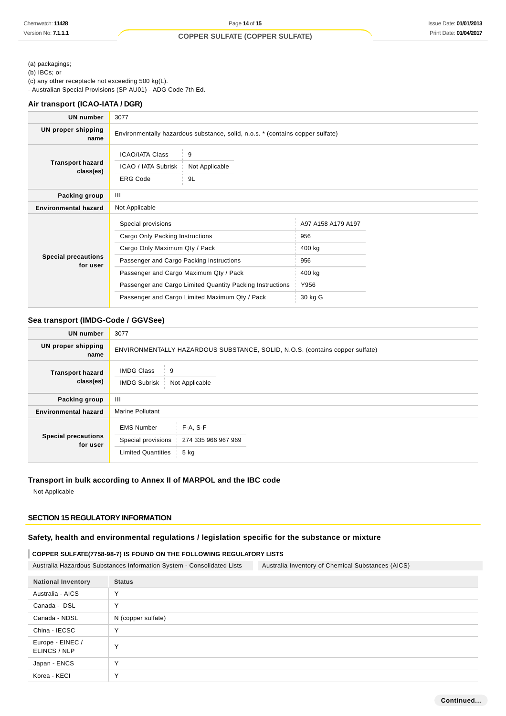# (a) packagings;

(b) IBCs; or

(c) any other receptacle not exceeding 500 kg(L).

- Australian Special Provisions (SP AU01) - ADG Code 7th Ed.

## **Air transport (ICAO-IATA / DGR)**

| <b>UN number</b>                       | 3077                                                                           |                           |                    |
|----------------------------------------|--------------------------------------------------------------------------------|---------------------------|--------------------|
| <b>UN proper shipping</b><br>name      | Environmentally hazardous substance, solid, n.o.s. * (contains copper sulfate) |                           |                    |
| <b>Transport hazard</b><br>class(es)   | <b>ICAO/IATA Class</b><br>ICAO / IATA Subrisk<br><b>ERG Code</b>               | 9<br>Not Applicable<br>9L |                    |
| Packing group                          | Ш                                                                              |                           |                    |
| <b>Environmental hazard</b>            | Not Applicable                                                                 |                           |                    |
|                                        | Special provisions                                                             |                           | A97 A158 A179 A197 |
|                                        | Cargo Only Packing Instructions                                                |                           | 956                |
| <b>Special precautions</b><br>for user | Cargo Only Maximum Qty / Pack                                                  |                           | 400 kg             |
|                                        | Passenger and Cargo Packing Instructions                                       |                           | 956                |
|                                        | Passenger and Cargo Maximum Qty / Pack                                         |                           | 400 kg             |
|                                        | Passenger and Cargo Limited Quantity Packing Instructions                      |                           | Y956               |
|                                        | Passenger and Cargo Limited Maximum Qty / Pack                                 |                           | 30 kg G            |

# **Sea transport (IMDG-Code / GGVSee)**

| <b>UN number</b>                       | 3077                                                                                                              |  |  |
|----------------------------------------|-------------------------------------------------------------------------------------------------------------------|--|--|
| UN proper shipping<br>name             | ENVIRONMENTALLY HAZARDOUS SUBSTANCE, SOLID, N.O.S. (contains copper sulfate)                                      |  |  |
| <b>Transport hazard</b><br>class(es)   | <b>IMDG Class</b><br>9<br><b>IMDG Subrisk</b><br>Not Applicable                                                   |  |  |
| Packing group                          | $\mathbf{H}$                                                                                                      |  |  |
| <b>Environmental hazard</b>            | <b>Marine Pollutant</b>                                                                                           |  |  |
| <b>Special precautions</b><br>for user | $F-A, S-F$<br><b>EMS Number</b><br>Special provisions<br>274 335 966 967 969<br><b>Limited Quantities</b><br>5 kg |  |  |

# **Transport in bulk according to Annex II of MARPOL and the IBC code**

Not Applicable

## **SECTION 15 REGULATORY INFORMATION**

# **Safety, health and environmental regulations / legislation specific for the substance or mixture**

## **COPPER SULFATE(7758-98-7) IS FOUND ON THE FOLLOWING REGULATORY LISTS**

Australia Hazardous Substances Information System - Consolidated Lists Australia Inventory of Chemical Substances (AICS)

| <b>National Inventory</b>        | <b>Status</b>      |
|----------------------------------|--------------------|
| Australia - AICS                 | $\checkmark$       |
| Canada - DSL                     | $\checkmark$       |
| Canada - NDSL                    | N (copper sulfate) |
| China - IECSC                    | $\checkmark$       |
| Europe - EINEC /<br>ELINCS / NLP | $\checkmark$       |
| Japan - ENCS                     | $\checkmark$       |
| Korea - KECI                     | Υ                  |